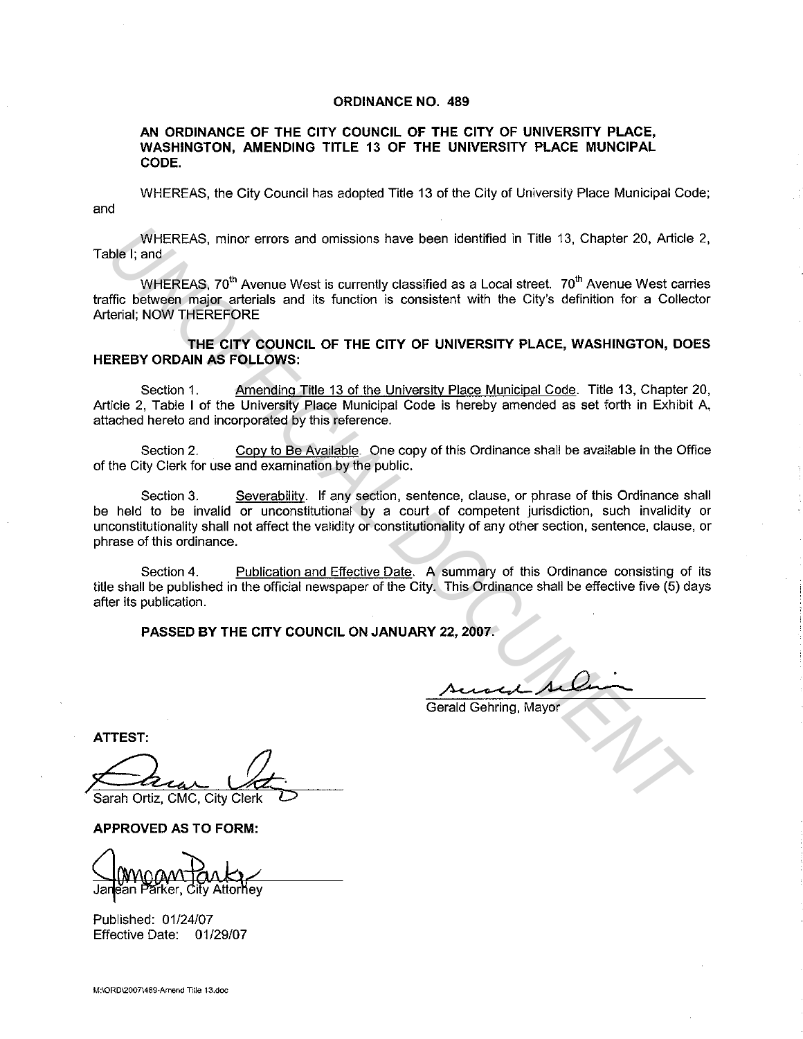#### ORDINANCE NO. 489

AN ORDINANCE OF THE CITY COUNCIL OF THE CITY OF UNIVERSITY PLACE, WASHINGTON, AMENDING TITLE 13 OF THE UNIVERSITY PLACE MUNCIPAL CODE.

and WHEREAS, the City Council has adopted Title 13 of the City of University Place Municipal Code;

WHEREAS, minor errors and omissions have been identified in Title 13. Chapter 20, Article 2, Table I; and

WHEREAS, 70<sup>th</sup> Avenue West is currently classified as a Local street. 70<sup>th</sup> Avenue West carries traffic between major arterials and its function is consistent with the City's definition for a Collector Arterial; NOW THEREFORE

THE CITY COUNCIL OF THE CITY OF UNIVERSITY PLACE, WASHINGTON, DOES HEREBY ORDAIN AS FOLLOWS:

Section 1. Amending Title 13 of the University Place Municipal Code. Title 13, Chapter 20, Article 2, Table I of the University Place Municipal Code is hereby amended as set forth in Exhibit A, attached hereto and incorporated by this reference.

Section 2. Copy to Be Available. One copy of this Ordinance shall be available in the Office of the City Clerk for use and examination by the public.

Section 3. Severability. If any section, sentence, clause, or phrase of this Ordinance shall be held to be invalid or unconstitutional by a court of competent jurisdiction, such invalidity or unconstitutionality shall not affect the validity or constitutionality of any other section, sentence, clause, or phrase of this ordinance. WHEREAS, minor errors and omissions have been identified in Title 13. Chapter 20, Article<br>
UNHEREAS, 70<sup>th</sup> Avenue West is currently dessified as a Local street. 70<sup>th</sup> Avenue West carricle between major arterials and its

Section 4. Publication and Effective Date. A summary of this Ordinance consisting of its title shall be published in the official newspaper of the City. This Ordinance shall be effective five (5) days after its publication.

PASSED BY THE CITY COUNCIL ON JANUARY 22, 2007.

Gerald Gehring, Mayor

ATTEST:

Sarah Ortiz, CMC, City Clerk

APPROVED AS TO FORM:

Attorney ker.

Published: 01/24/07 Effective Date: 01/29/07